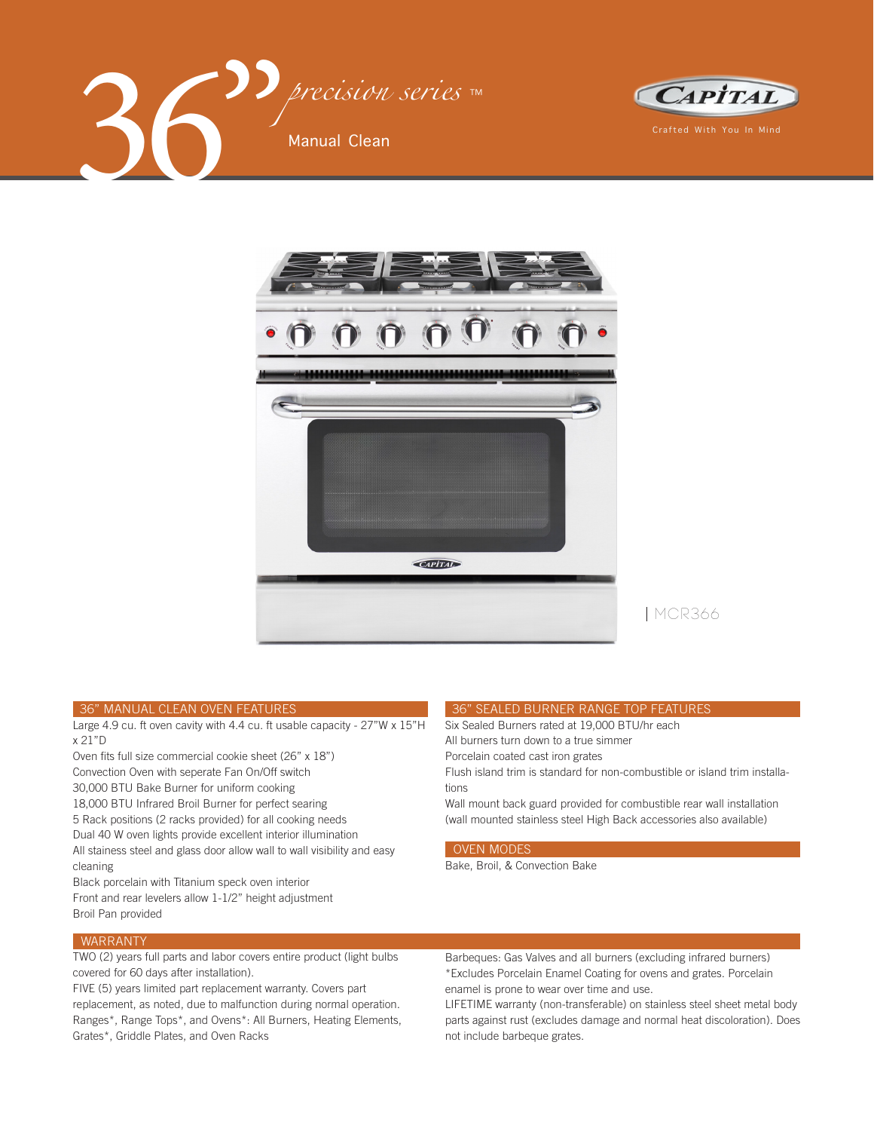





MCR366

#### 36" MANUAL CLEAN OVEN FEATURES

Large 4.9 cu. ft oven cavity with 4.4 cu. ft usable capacity - 27"W x 15"H x 21"D

Oven fits full size commercial cookie sheet (26" x 18") Convection Oven with seperate Fan On/Off switch 30,000 BTU Bake Burner for uniform cooking 18,000 BTU Infrared Broil Burner for perfect searing 5 Rack positions (2 racks provided) for all cooking needs Dual 40 W oven lights provide excellent interior illumination All stainess steel and glass door allow wall to wall visibility and easy

cleaning Black porcelain with Titanium speck oven interior

Front and rear levelers allow 1-1/2" height adjustment Broil Pan provided

Flush island trim is standard for non-combustible or island trim installations

 36" SEALED BURNER RANGE TOP FEATURES Six Sealed Burners rated at 19,000 BTU/hr each

Wall mount back guard provided for combustible rear wall installation (wall mounted stainless steel High Back accessories also available)

# OVEN MODES

Bake, Broil, & Convection Bake

All burners turn down to a true simmer Porcelain coated cast iron grates

# WARRANTY

TWO (2) years full parts and labor covers entire product (light bulbs covered for 60 days after installation).

FIVE (5) years limited part replacement warranty. Covers part replacement, as noted, due to malfunction during normal operation. Ranges\*, Range Tops\*, and Ovens\*: All Burners, Heating Elements, Grates\*, Griddle Plates, and Oven Racks

Barbeques: Gas Valves and all burners (excluding infrared burners) \*Excludes Porcelain Enamel Coating for ovens and grates. Porcelain enamel is prone to wear over time and use.

LIFETIME warranty (non-transferable) on stainless steel sheet metal body parts against rust (excludes damage and normal heat discoloration). Does not include barbeque grates.